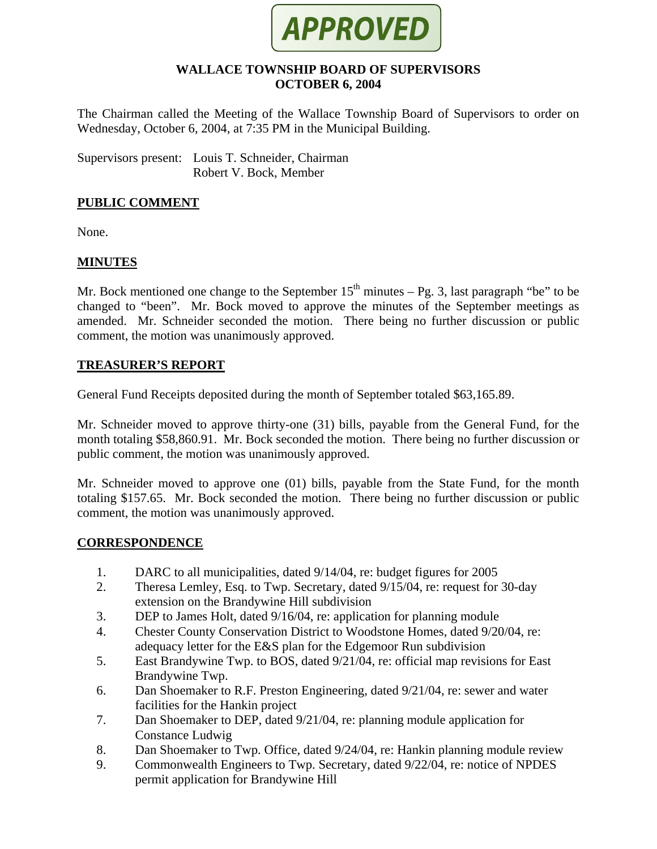

#### **WALLACE TOWNSHIP BOARD OF SUPERVISORS OCTOBER 6, 2004**

The Chairman called the Meeting of the Wallace Township Board of Supervisors to order on Wednesday, October 6, 2004, at 7:35 PM in the Municipal Building.

Supervisors present: Louis T. Schneider, Chairman Robert V. Bock, Member

## **PUBLIC COMMENT**

None.

## **MINUTES**

Mr. Bock mentioned one change to the September  $15<sup>th</sup>$  minutes – Pg. 3, last paragraph "be" to be changed to "been". Mr. Bock moved to approve the minutes of the September meetings as amended. Mr. Schneider seconded the motion. There being no further discussion or public comment, the motion was unanimously approved.

## **TREASURER'S REPORT**

General Fund Receipts deposited during the month of September totaled \$63,165.89.

Mr. Schneider moved to approve thirty-one (31) bills, payable from the General Fund, for the month totaling \$58,860.91. Mr. Bock seconded the motion. There being no further discussion or public comment, the motion was unanimously approved.

Mr. Schneider moved to approve one (01) bills, payable from the State Fund, for the month totaling \$157.65. Mr. Bock seconded the motion. There being no further discussion or public comment, the motion was unanimously approved.

## **CORRESPONDENCE**

- 1. DARC to all municipalities, dated 9/14/04, re: budget figures for 2005
- 2. Theresa Lemley, Esq. to Twp. Secretary, dated 9/15/04, re: request for 30-day extension on the Brandywine Hill subdivision
- 3. DEP to James Holt, dated 9/16/04, re: application for planning module
- 4. Chester County Conservation District to Woodstone Homes, dated 9/20/04, re: adequacy letter for the E&S plan for the Edgemoor Run subdivision
- 5. East Brandywine Twp. to BOS, dated 9/21/04, re: official map revisions for East Brandywine Twp.
- 6. Dan Shoemaker to R.F. Preston Engineering, dated 9/21/04, re: sewer and water facilities for the Hankin project
- 7. Dan Shoemaker to DEP, dated 9/21/04, re: planning module application for Constance Ludwig
- 8. Dan Shoemaker to Twp. Office, dated 9/24/04, re: Hankin planning module review
- 9. Commonwealth Engineers to Twp. Secretary, dated 9/22/04, re: notice of NPDES permit application for Brandywine Hill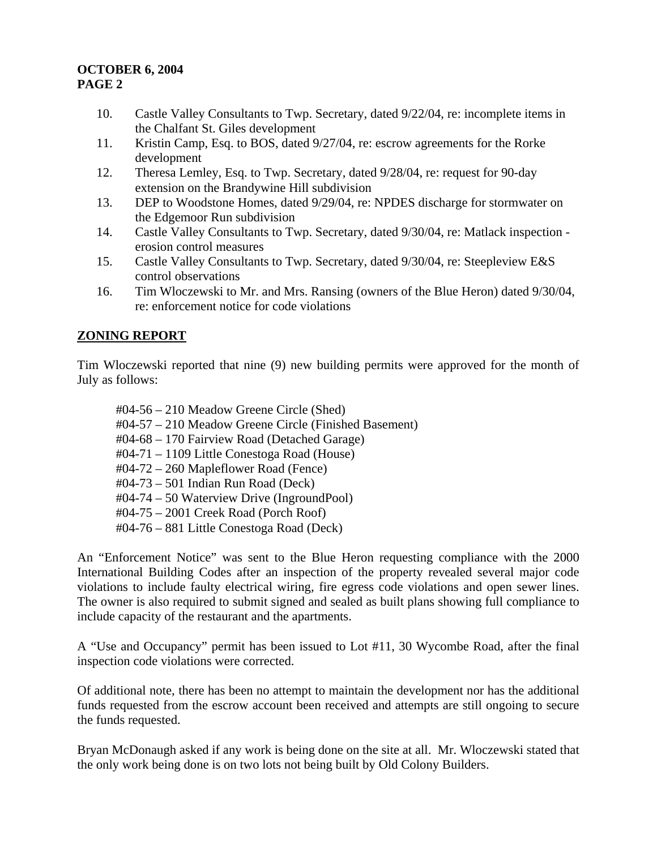## **OCTOBER 6, 2004 PAGE 2**

- 10. Castle Valley Consultants to Twp. Secretary, dated 9/22/04, re: incomplete items in the Chalfant St. Giles development
- 11. Kristin Camp, Esq. to BOS, dated 9/27/04, re: escrow agreements for the Rorke development
- 12. Theresa Lemley, Esq. to Twp. Secretary, dated 9/28/04, re: request for 90-day extension on the Brandywine Hill subdivision
- 13. DEP to Woodstone Homes, dated 9/29/04, re: NPDES discharge for stormwater on the Edgemoor Run subdivision
- 14. Castle Valley Consultants to Twp. Secretary, dated 9/30/04, re: Matlack inspection erosion control measures
- 15. Castle Valley Consultants to Twp. Secretary, dated 9/30/04, re: Steepleview E&S control observations
- 16. Tim Wloczewski to Mr. and Mrs. Ransing (owners of the Blue Heron) dated 9/30/04, re: enforcement notice for code violations

# **ZONING REPORT**

Tim Wloczewski reported that nine (9) new building permits were approved for the month of July as follows:

#04-56 – 210 Meadow Greene Circle (Shed) #04-57 – 210 Meadow Greene Circle (Finished Basement) #04-68 – 170 Fairview Road (Detached Garage) #04-71 – 1109 Little Conestoga Road (House) #04-72 – 260 Mapleflower Road (Fence) #04-73 – 501 Indian Run Road (Deck) #04-74 – 50 Waterview Drive (IngroundPool) #04-75 – 2001 Creek Road (Porch Roof) #04-76 – 881 Little Conestoga Road (Deck)

An "Enforcement Notice" was sent to the Blue Heron requesting compliance with the 2000 International Building Codes after an inspection of the property revealed several major code violations to include faulty electrical wiring, fire egress code violations and open sewer lines. The owner is also required to submit signed and sealed as built plans showing full compliance to include capacity of the restaurant and the apartments.

A "Use and Occupancy" permit has been issued to Lot #11, 30 Wycombe Road, after the final inspection code violations were corrected.

Of additional note, there has been no attempt to maintain the development nor has the additional funds requested from the escrow account been received and attempts are still ongoing to secure the funds requested.

Bryan McDonaugh asked if any work is being done on the site at all. Mr. Wloczewski stated that the only work being done is on two lots not being built by Old Colony Builders.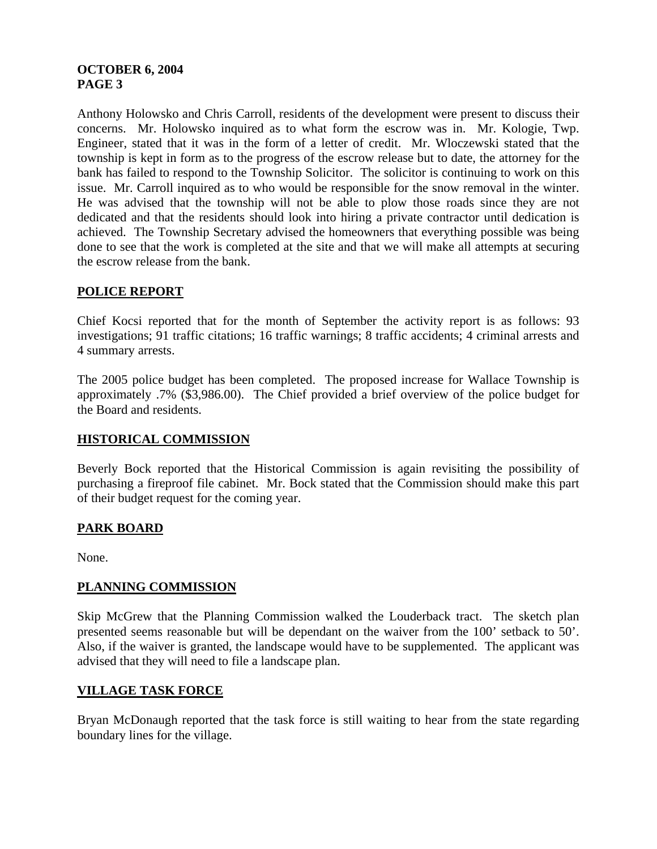## **OCTOBER 6, 2004 PAGE 3**

Anthony Holowsko and Chris Carroll, residents of the development were present to discuss their concerns. Mr. Holowsko inquired as to what form the escrow was in. Mr. Kologie, Twp. Engineer, stated that it was in the form of a letter of credit. Mr. Wloczewski stated that the township is kept in form as to the progress of the escrow release but to date, the attorney for the bank has failed to respond to the Township Solicitor. The solicitor is continuing to work on this issue. Mr. Carroll inquired as to who would be responsible for the snow removal in the winter. He was advised that the township will not be able to plow those roads since they are not dedicated and that the residents should look into hiring a private contractor until dedication is achieved. The Township Secretary advised the homeowners that everything possible was being done to see that the work is completed at the site and that we will make all attempts at securing the escrow release from the bank.

# **POLICE REPORT**

Chief Kocsi reported that for the month of September the activity report is as follows: 93 investigations; 91 traffic citations; 16 traffic warnings; 8 traffic accidents; 4 criminal arrests and 4 summary arrests.

The 2005 police budget has been completed. The proposed increase for Wallace Township is approximately .7% (\$3,986.00). The Chief provided a brief overview of the police budget for the Board and residents.

# **HISTORICAL COMMISSION**

Beverly Bock reported that the Historical Commission is again revisiting the possibility of purchasing a fireproof file cabinet. Mr. Bock stated that the Commission should make this part of their budget request for the coming year.

# **PARK BOARD**

None.

# **PLANNING COMMISSION**

Skip McGrew that the Planning Commission walked the Louderback tract. The sketch plan presented seems reasonable but will be dependant on the waiver from the 100' setback to 50'. Also, if the waiver is granted, the landscape would have to be supplemented. The applicant was advised that they will need to file a landscape plan.

# **VILLAGE TASK FORCE**

Bryan McDonaugh reported that the task force is still waiting to hear from the state regarding boundary lines for the village.